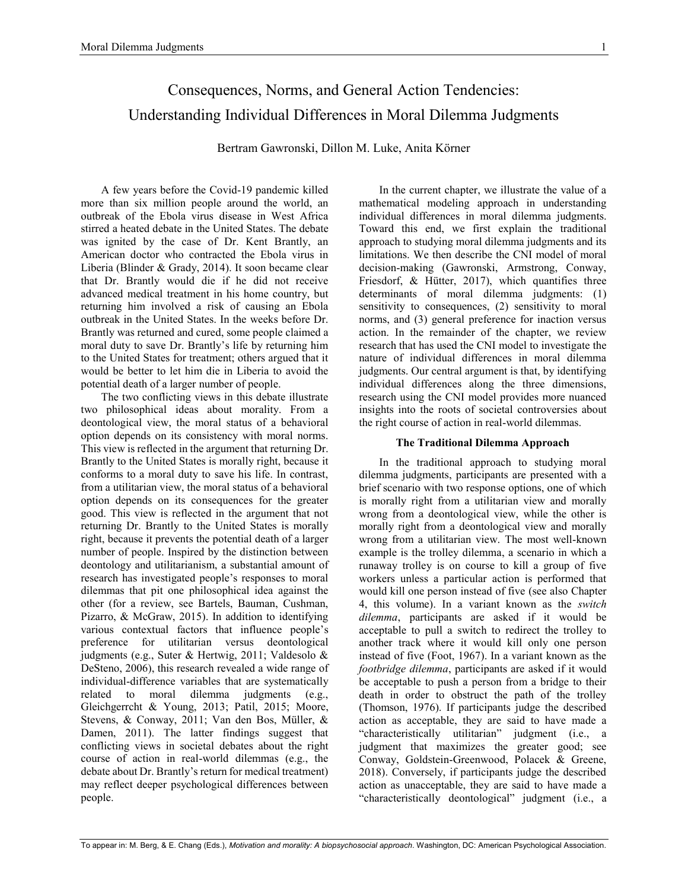# Consequences, Norms, and General Action Tendencies: Understanding Individual Differences in Moral Dilemma Judgments

Bertram Gawronski, Dillon M. Luke, Anita Körner

A few years before the Covid-19 pandemic killed more than six million people around the world, an outbreak of the Ebola virus disease in West Africa stirred a heated debate in the United States. The debate was ignited by the case of Dr. Kent Brantly, an American doctor who contracted the Ebola virus in Liberia (Blinder & Grady, 2014). It soon became clear that Dr. Brantly would die if he did not receive advanced medical treatment in his home country, but returning him involved a risk of causing an Ebola outbreak in the United States. In the weeks before Dr. Brantly was returned and cured, some people claimed a moral duty to save Dr. Brantly's life by returning him to the United States for treatment; others argued that it would be better to let him die in Liberia to avoid the potential death of a larger number of people.

The two conflicting views in this debate illustrate two philosophical ideas about morality. From a deontological view, the moral status of a behavioral option depends on its consistency with moral norms. This view is reflected in the argument that returning Dr. Brantly to the United States is morally right, because it conforms to a moral duty to save his life. In contrast, from a utilitarian view, the moral status of a behavioral option depends on its consequences for the greater good. This view is reflected in the argument that not returning Dr. Brantly to the United States is morally right, because it prevents the potential death of a larger number of people. Inspired by the distinction between deontology and utilitarianism, a substantial amount of research has investigated people's responses to moral dilemmas that pit one philosophical idea against the other (for a review, see Bartels, Bauman, Cushman, Pizarro, & McGraw, 2015). In addition to identifying various contextual factors that influence people's preference for utilitarian versus deontological judgments (e.g., Suter & Hertwig, 2011; Valdesolo & DeSteno, 2006), this research revealed a wide range of individual-difference variables that are systematically related to moral dilemma judgments (e.g., Gleichgerrcht & Young, 2013; Patil, 2015; Moore, Stevens, & Conway, 2011; Van den Bos, Müller, & Damen, 2011). The latter findings suggest that conflicting views in societal debates about the right course of action in real-world dilemmas (e.g., the debate about Dr. Brantly's return for medical treatment) may reflect deeper psychological differences between people.

In the current chapter, we illustrate the value of a mathematical modeling approach in understanding individual differences in moral dilemma judgments. Toward this end, we first explain the traditional approach to studying moral dilemma judgments and its limitations. We then describe the CNI model of moral decision-making (Gawronski, Armstrong, Conway, Friesdorf, & Hütter, 2017), which quantifies three determinants of moral dilemma judgments: (1) sensitivity to consequences, (2) sensitivity to moral norms, and (3) general preference for inaction versus action. In the remainder of the chapter, we review research that has used the CNI model to investigate the nature of individual differences in moral dilemma judgments. Our central argument is that, by identifying individual differences along the three dimensions, research using the CNI model provides more nuanced insights into the roots of societal controversies about the right course of action in real-world dilemmas.

#### **The Traditional Dilemma Approach**

In the traditional approach to studying moral dilemma judgments, participants are presented with a brief scenario with two response options, one of which is morally right from a utilitarian view and morally wrong from a deontological view, while the other is morally right from a deontological view and morally wrong from a utilitarian view. The most well-known example is the trolley dilemma, a scenario in which a runaway trolley is on course to kill a group of five workers unless a particular action is performed that would kill one person instead of five (see also Chapter 4, this volume). In a variant known as the *switch dilemma*, participants are asked if it would be acceptable to pull a switch to redirect the trolley to another track where it would kill only one person instead of five (Foot, 1967). In a variant known as the *footbridge dilemma*, participants are asked if it would be acceptable to push a person from a bridge to their death in order to obstruct the path of the trolley (Thomson, 1976). If participants judge the described action as acceptable, they are said to have made a "characteristically utilitarian" judgment (i.e., a judgment that maximizes the greater good; see Conway, Goldstein-Greenwood, Polacek & Greene, 2018). Conversely, if participants judge the described action as unacceptable, they are said to have made a "characteristically deontological" judgment (i.e., a

1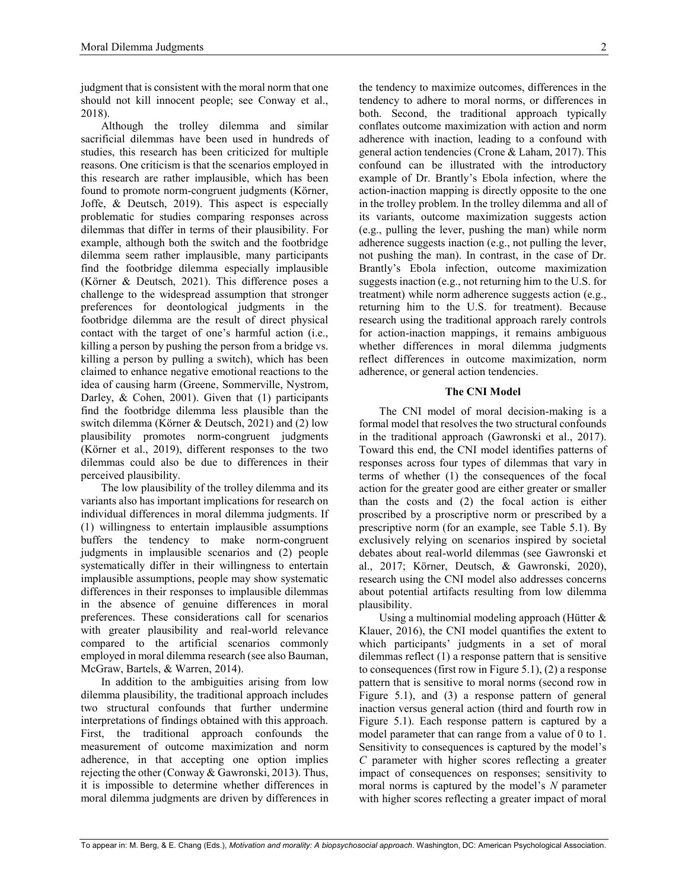judgment that is consistent with the moral norm that one should not kill innocent people; see Conway et al., 2018).

Although the trolley dilemma and similar sacrificial dilemmas have been used in hundreds of studies, this research has been criticized for multiple reasons. One criticism is that the scenarios employed in this research are rather implausible, which has been found to promote norm-congruent judgments (Körner, Joffe, & Deutsch, 2019). This aspect is especially problematic for studies comparing responses across dilemmas that differ in terms of their plausibility. For example, although both the switch and the footbridge dilemma seem rather implausible, many participants find the footbridge dilemma especially implausible (Körner & Deutsch, 2021). This difference poses a challenge to the widespread assumption that stronger preferences for deontological judgments in the footbridge dilemma are the result of direct physical contact with the target of one's harmful action (i.e., killing a person by pushing the person from a bridge vs. killing a person by pulling a switch), which has been claimed to enhance negative emotional reactions to the idea of causing harm (Greene, Sommerville, Nystrom, Darley, & Cohen, 2001). Given that (1) participants find the footbridge dilemma less plausible than the switch dilemma (Körner & Deutsch, 2021) and (2) low plausibility promotes norm-congruent judgments (Körner et al., 2019), different responses to the two dilemmas could also be due to differences in their perceived plausibility.

The low plausibility of the trolley dilemma and its variants also has important implications for research on individual differences in moral dilemma judgments. If (1) willingness to entertain implausible assumptions buffers the tendency to make norm-congruent judgments in implausible scenarios and (2) people systematically differ in their willingness to entertain implausible assumptions, people may show systematic differences in their responses to implausible dilemmas in the absence of genuine differences in moral preferences. These considerations call for scenarios with greater plausibility and real-world relevance compared to the artificial scenarios commonly employed in moral dilemma research (see also Bauman, McGraw, Bartels, & Warren, 2014).

In addition to the ambiguities arising from low dilemma plausibility, the traditional approach includes two structural confounds that further undermine interpretations of findings obtained with this approach. First, the traditional approach confounds the measurement of outcome maximization and norm adherence, in that accepting one option implies rejecting the other (Conway & Gawronski, 2013). Thus, it is impossible to determine whether differences in moral dilemma judgments are driven by differences in

the tendency to maximize outcomes, differences in the tendency to adhere to moral norms, or differences in both. Second, the traditional approach typically conflates outcome maximization with action and norm adherence with inaction, leading to a confound with general action tendencies (Crone & Laham, 2017). This confound can be illustrated with the introductory example of Dr. Brantly's Ebola infection, where the action-inaction mapping is directly opposite to the one in the trolley problem. In the trolley dilemma and all of its variants, outcome maximization suggests action (e.g., pulling the lever, pushing the man) while norm adherence suggests inaction (e.g., not pulling the lever, not pushing the man). In contrast, in the case of Dr. Brantly's Ebola infection, outcome maximization suggests inaction (e.g., not returning him to the U.S. for treatment) while norm adherence suggests action (e.g., returning him to the U.S. for treatment). Because research using the traditional approach rarely controls for action-inaction mappings, it remains ambiguous whether differences in moral dilemma judgments reflect differences in outcome maximization, norm adherence, or general action tendencies.

## **The CNI Model**

The CNI model of moral decision-making is a formal model that resolves the two structural confounds in the traditional approach (Gawronski et al., 2017). Toward this end, the CNI model identifies patterns of responses across four types of dilemmas that vary in terms of whether (1) the consequences of the focal action for the greater good are either greater or smaller than the costs and (2) the focal action is either proscribed by a proscriptive norm or prescribed by a prescriptive norm (for an example, see Table 5.1). By exclusively relying on scenarios inspired by societal debates about real-world dilemmas (see Gawronski et al., 2017; Körner, Deutsch, & Gawronski, 2020), research using the CNI model also addresses concerns about potential artifacts resulting from low dilemma plausibility.

Using a multinomial modeling approach (Hütter & Klauer, 2016), the CNI model quantifies the extent to which participants' judgments in a set of moral dilemmas reflect (1) a response pattern that is sensitive to consequences (first row in Figure 5.1), (2) a response pattern that is sensitive to moral norms (second row in Figure 5.1), and (3) a response pattern of general inaction versus general action (third and fourth row in Figure 5.1). Each response pattern is captured by a model parameter that can range from a value of 0 to 1. Sensitivity to consequences is captured by the model's *C* parameter with higher scores reflecting a greater impact of consequences on responses; sensitivity to moral norms is captured by the model's *N* parameter with higher scores reflecting a greater impact of moral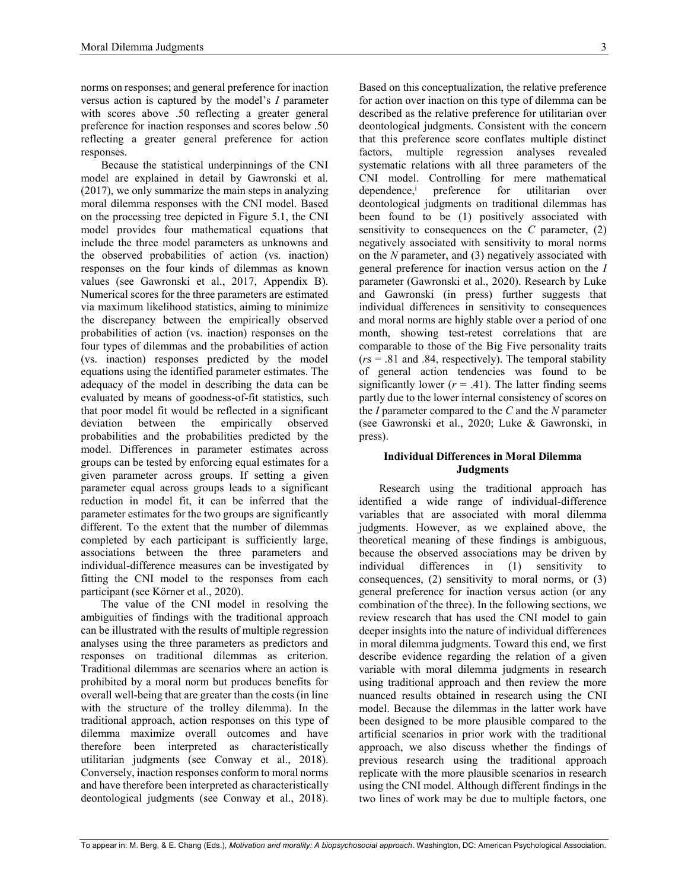norms on responses; and general preference for inaction versus action is captured by the model's *I* parameter with scores above .50 reflecting a greater general preference for inaction responses and scores below .50 reflecting a greater general preference for action responses.

Because the statistical underpinnings of the CNI model are explained in detail by Gawronski et al. (2017), we only summarize the main steps in analyzing moral dilemma responses with the CNI model. Based on the processing tree depicted in Figure 5.1, the CNI model provides four mathematical equations that include the three model parameters as unknowns and the observed probabilities of action (vs. inaction) responses on the four kinds of dilemmas as known values (see Gawronski et al., 2017, Appendix B). Numerical scores for the three parameters are estimated via maximum likelihood statistics, aiming to minimize the discrepancy between the empirically observed probabilities of action (vs. inaction) responses on the four types of dilemmas and the probabilities of action (vs. inaction) responses predicted by the model equations using the identified parameter estimates. The adequacy of the model in describing the data can be evaluated by means of goodness-of-fit statistics, such that poor model fit would be reflected in a significant deviation between the empirically observed probabilities and the probabilities predicted by the model. Differences in parameter estimates across groups can be tested by enforcing equal estimates for a given parameter across groups. If setting a given parameter equal across groups leads to a significant reduction in model fit, it can be inferred that the parameter estimates for the two groups are significantly different. To the extent that the number of dilemmas completed by each participant is sufficiently large, associations between the three parameters and individual-difference measures can be investigated by fitting the CNI model to the responses from each participant (see Körner et al., 2020).

The value of the CNI model in resolving the ambiguities of findings with the traditional approach can be illustrated with the results of multiple regression analyses using the three parameters as predictors and responses on traditional dilemmas as criterion. Traditional dilemmas are scenarios where an action is prohibited by a moral norm but produces benefits for overall well-being that are greater than the costs (in line with the structure of the trolley dilemma). In the traditional approach, action responses on this type of dilemma maximize overall outcomes and have therefore been interpreted as characteristically utilitarian judgments (see Conway et al., 2018). Conversely, inaction responses conform to moral norms and have therefore been interpreted as characteristically deontological judgments (see Conway et al., 2018).

Based on this conceptualization, the relative preference for action over inaction on this type of dilemma can be described as the relative preference for utilitarian over deontological judgments. Consistent with the concern that this preference score conflates multiple distinct factors, multiple regression analyses revealed systematic relations with all three parameters of the CNI model. Controlling for mere mathematical dependence,<sup>i</sup> preference for utilitarian over deontological judgments on traditional dilemmas has been found to be (1) positively associated with sensitivity to consequences on the *C* parameter, (2) negatively associated with sensitivity to moral norms on the *N* parameter, and (3) negatively associated with general preference for inaction versus action on the *I* parameter (Gawronski et al., 2020). Research by Luke and Gawronski (in press) further suggests that individual differences in sensitivity to consequences and moral norms are highly stable over a period of one month, showing test-retest correlations that are comparable to those of the Big Five personality traits (*r*s = .81 and .84, respectively). The temporal stability of general action tendencies was found to be significantly lower  $(r = .41)$ . The latter finding seems partly due to the lower internal consistency of scores on the *I* parameter compared to the *C* and the *N* parameter (see Gawronski et al., 2020; Luke & Gawronski, in press).

# **Individual Differences in Moral Dilemma Judgments**

Research using the traditional approach has identified a wide range of individual-difference variables that are associated with moral dilemma judgments. However, as we explained above, the theoretical meaning of these findings is ambiguous, because the observed associations may be driven by individual differences in (1) sensitivity to consequences, (2) sensitivity to moral norms, or (3) general preference for inaction versus action (or any combination of the three). In the following sections, we review research that has used the CNI model to gain deeper insights into the nature of individual differences in moral dilemma judgments. Toward this end, we first describe evidence regarding the relation of a given variable with moral dilemma judgments in research using traditional approach and then review the more nuanced results obtained in research using the CNI model. Because the dilemmas in the latter work have been designed to be more plausible compared to the artificial scenarios in prior work with the traditional approach, we also discuss whether the findings of previous research using the traditional approach replicate with the more plausible scenarios in research using the CNI model. Although different findings in the two lines of work may be due to multiple factors, one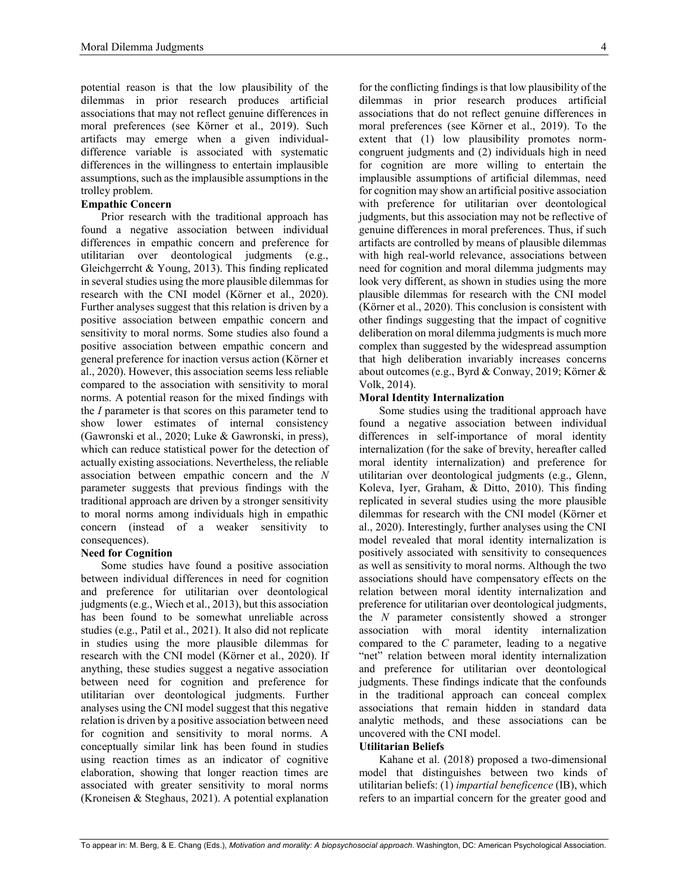potential reason is that the low plausibility of the dilemmas in prior research produces artificial associations that may not reflect genuine differences in moral preferences (see Körner et al., 2019). Such artifacts may emerge when a given individualdifference variable is associated with systematic differences in the willingness to entertain implausible assumptions, such as the implausible assumptions in the trolley problem.

# **Empathic Concern**

Prior research with the traditional approach has found a negative association between individual differences in empathic concern and preference for utilitarian over deontological judgments (e.g., Gleichgerrcht & Young, 2013). This finding replicated in several studies using the more plausible dilemmas for research with the CNI model (Körner et al., 2020). Further analyses suggest that this relation is driven by a positive association between empathic concern and sensitivity to moral norms. Some studies also found a positive association between empathic concern and general preference for inaction versus action (Körner et al., 2020). However, this association seems less reliable compared to the association with sensitivity to moral norms. A potential reason for the mixed findings with the *I* parameter is that scores on this parameter tend to show lower estimates of internal consistency (Gawronski et al., 2020; Luke & Gawronski, in press), which can reduce statistical power for the detection of actually existing associations. Nevertheless, the reliable association between empathic concern and the *N* parameter suggests that previous findings with the traditional approach are driven by a stronger sensitivity to moral norms among individuals high in empathic concern (instead of a weaker sensitivity to consequences).

# **Need for Cognition**

Some studies have found a positive association between individual differences in need for cognition and preference for utilitarian over deontological judgments (e.g., Wiech et al., 2013), but this association has been found to be somewhat unreliable across studies (e.g., Patil et al., 2021). It also did not replicate in studies using the more plausible dilemmas for research with the CNI model (Körner et al., 2020). If anything, these studies suggest a negative association between need for cognition and preference for utilitarian over deontological judgments. Further analyses using the CNI model suggest that this negative relation is driven by a positive association between need for cognition and sensitivity to moral norms. A conceptually similar link has been found in studies using reaction times as an indicator of cognitive elaboration, showing that longer reaction times are associated with greater sensitivity to moral norms (Kroneisen & Steghaus, 2021). A potential explanation for the conflicting findings is that low plausibility of the dilemmas in prior research produces artificial associations that do not reflect genuine differences in moral preferences (see Körner et al., 2019). To the extent that (1) low plausibility promotes normcongruent judgments and (2) individuals high in need for cognition are more willing to entertain the implausible assumptions of artificial dilemmas, need for cognition may show an artificial positive association with preference for utilitarian over deontological judgments, but this association may not be reflective of genuine differences in moral preferences. Thus, if such artifacts are controlled by means of plausible dilemmas with high real-world relevance, associations between need for cognition and moral dilemma judgments may look very different, as shown in studies using the more plausible dilemmas for research with the CNI model (Körner et al., 2020). This conclusion is consistent with other findings suggesting that the impact of cognitive deliberation on moral dilemma judgments is much more complex than suggested by the widespread assumption that high deliberation invariably increases concerns about outcomes (e.g., Byrd & Conway, 2019; Körner & Volk, 2014).

# **Moral Identity Internalization**

Some studies using the traditional approach have found a negative association between individual differences in self-importance of moral identity internalization (for the sake of brevity, hereafter called moral identity internalization) and preference for utilitarian over deontological judgments (e.g., Glenn, Koleva, Iyer, Graham, & Ditto, 2010). This finding replicated in several studies using the more plausible dilemmas for research with the CNI model (Körner et al., 2020). Interestingly, further analyses using the CNI model revealed that moral identity internalization is positively associated with sensitivity to consequences as well as sensitivity to moral norms. Although the two associations should have compensatory effects on the relation between moral identity internalization and preference for utilitarian over deontological judgments, the *N* parameter consistently showed a stronger association with moral identity internalization compared to the *C* parameter, leading to a negative "net" relation between moral identity internalization and preference for utilitarian over deontological judgments. These findings indicate that the confounds in the traditional approach can conceal complex associations that remain hidden in standard data analytic methods, and these associations can be uncovered with the CNI model.

# **Utilitarian Beliefs**

Kahane et al. (2018) proposed a two-dimensional model that distinguishes between two kinds of utilitarian beliefs: (1) *impartial beneficence* (IB), which refers to an impartial concern for the greater good and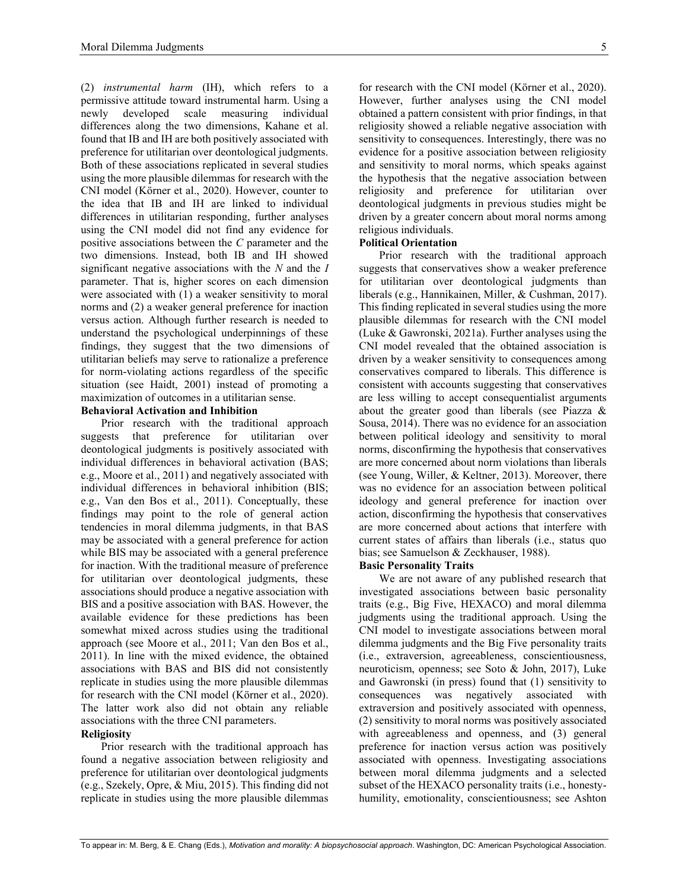(2) *instrumental harm* (IH), which refers to a permissive attitude toward instrumental harm. Using a newly developed scale measuring individual differences along the two dimensions, Kahane et al. found that IB and IH are both positively associated with preference for utilitarian over deontological judgments. Both of these associations replicated in several studies using the more plausible dilemmas for research with the CNI model (Körner et al., 2020). However, counter to the idea that IB and IH are linked to individual differences in utilitarian responding, further analyses using the CNI model did not find any evidence for positive associations between the *C* parameter and the two dimensions. Instead, both IB and IH showed significant negative associations with the *N* and the *I* parameter. That is, higher scores on each dimension were associated with (1) a weaker sensitivity to moral norms and (2) a weaker general preference for inaction versus action. Although further research is needed to understand the psychological underpinnings of these findings, they suggest that the two dimensions of utilitarian beliefs may serve to rationalize a preference for norm-violating actions regardless of the specific situation (see Haidt, 2001) instead of promoting a maximization of outcomes in a utilitarian sense.

# **Behavioral Activation and Inhibition**

Prior research with the traditional approach suggests that preference for utilitarian over deontological judgments is positively associated with individual differences in behavioral activation (BAS; e.g., Moore et al., 2011) and negatively associated with individual differences in behavioral inhibition (BIS; e.g., Van den Bos et al., 2011). Conceptually, these findings may point to the role of general action tendencies in moral dilemma judgments, in that BAS may be associated with a general preference for action while BIS may be associated with a general preference for inaction. With the traditional measure of preference for utilitarian over deontological judgments, these associations should produce a negative association with BIS and a positive association with BAS. However, the available evidence for these predictions has been somewhat mixed across studies using the traditional approach (see Moore et al., 2011; Van den Bos et al., 2011). In line with the mixed evidence, the obtained associations with BAS and BIS did not consistently replicate in studies using the more plausible dilemmas for research with the CNI model (Körner et al., 2020). The latter work also did not obtain any reliable associations with the three CNI parameters.

# **Religiosity**

Prior research with the traditional approach has found a negative association between religiosity and preference for utilitarian over deontological judgments (e.g., Szekely, Opre, & Miu, 2015). This finding did not replicate in studies using the more plausible dilemmas

for research with the CNI model (Körner et al., 2020). However, further analyses using the CNI model obtained a pattern consistent with prior findings, in that religiosity showed a reliable negative association with sensitivity to consequences. Interestingly, there was no evidence for a positive association between religiosity and sensitivity to moral norms, which speaks against the hypothesis that the negative association between religiosity and preference for utilitarian over deontological judgments in previous studies might be driven by a greater concern about moral norms among religious individuals.

## **Political Orientation**

Prior research with the traditional approach suggests that conservatives show a weaker preference for utilitarian over deontological judgments than liberals (e.g., Hannikainen, Miller, & Cushman, 2017). This finding replicated in several studies using the more plausible dilemmas for research with the CNI model (Luke & Gawronski, 2021a). Further analyses using the CNI model revealed that the obtained association is driven by a weaker sensitivity to consequences among conservatives compared to liberals. This difference is consistent with accounts suggesting that conservatives are less willing to accept consequentialist arguments about the greater good than liberals (see Piazza & Sousa, 2014). There was no evidence for an association between political ideology and sensitivity to moral norms, disconfirming the hypothesis that conservatives are more concerned about norm violations than liberals (see Young, Willer, & Keltner, 2013). Moreover, there was no evidence for an association between political ideology and general preference for inaction over action, disconfirming the hypothesis that conservatives are more concerned about actions that interfere with current states of affairs than liberals (i.e., status quo bias; see Samuelson & Zeckhauser, 1988).

## **Basic Personality Traits**

We are not aware of any published research that investigated associations between basic personality traits (e.g., Big Five, HEXACO) and moral dilemma judgments using the traditional approach. Using the CNI model to investigate associations between moral dilemma judgments and the Big Five personality traits (i.e., extraversion, agreeableness, conscientiousness, neuroticism, openness; see Soto & John, 2017), Luke and Gawronski (in press) found that (1) sensitivity to consequences was negatively associated with extraversion and positively associated with openness, (2) sensitivity to moral norms was positively associated with agreeableness and openness, and (3) general preference for inaction versus action was positively associated with openness. Investigating associations between moral dilemma judgments and a selected subset of the HEXACO personality traits (i.e., honestyhumility, emotionality, conscientiousness; see Ashton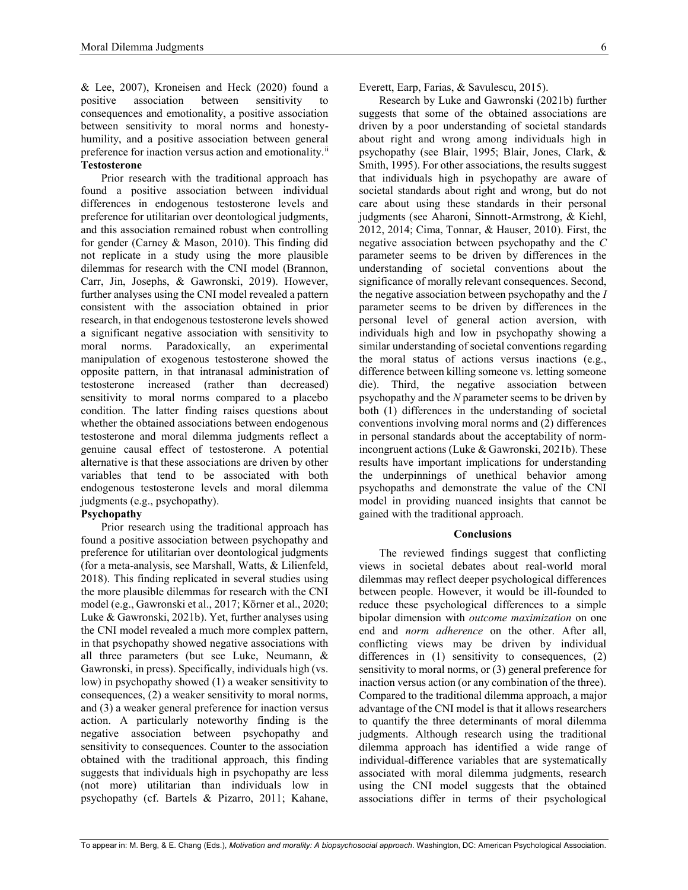& Lee, 2007), Kroneisen and Heck (2020) found a positive association between sensitivity to consequences and emotionality, a positive association between sensitivity to moral norms and honestyhumility, and a positive association between general preference for inaction versus action and emotionality.<sup>ii</sup> **Testosterone**

Prior research with the traditional approach has found a positive association between individual differences in endogenous testosterone levels and preference for utilitarian over deontological judgments, and this association remained robust when controlling for gender (Carney & Mason, 2010). This finding did not replicate in a study using the more plausible dilemmas for research with the CNI model (Brannon, Carr, Jin, Josephs, & Gawronski, 2019). However, further analyses using the CNI model revealed a pattern consistent with the association obtained in prior research, in that endogenous testosterone levels showed a significant negative association with sensitivity to moral norms. Paradoxically, an experimental manipulation of exogenous testosterone showed the opposite pattern, in that intranasal administration of testosterone increased (rather than decreased) sensitivity to moral norms compared to a placebo condition. The latter finding raises questions about whether the obtained associations between endogenous testosterone and moral dilemma judgments reflect a genuine causal effect of testosterone. A potential alternative is that these associations are driven by other variables that tend to be associated with both endogenous testosterone levels and moral dilemma judgments (e.g., psychopathy).

# **Psychopathy**

Prior research using the traditional approach has found a positive association between psychopathy and preference for utilitarian over deontological judgments (for a meta-analysis, see Marshall, Watts, & Lilienfeld, 2018). This finding replicated in several studies using the more plausible dilemmas for research with the CNI model (e.g., Gawronski et al., 2017; Körner et al., 2020; Luke & Gawronski, 2021b). Yet, further analyses using the CNI model revealed a much more complex pattern, in that psychopathy showed negative associations with all three parameters (but see Luke, Neumann, & Gawronski, in press). Specifically, individuals high (vs. low) in psychopathy showed (1) a weaker sensitivity to consequences, (2) a weaker sensitivity to moral norms, and (3) a weaker general preference for inaction versus action. A particularly noteworthy finding is the negative association between psychopathy and sensitivity to consequences. Counter to the association obtained with the traditional approach, this finding suggests that individuals high in psychopathy are less (not more) utilitarian than individuals low in psychopathy (cf. Bartels & Pizarro, 2011; Kahane,

Everett, Earp, Farias, & Savulescu, 2015).

Research by Luke and Gawronski (2021b) further suggests that some of the obtained associations are driven by a poor understanding of societal standards about right and wrong among individuals high in psychopathy (see Blair, 1995; Blair, Jones, Clark, & Smith, 1995). For other associations, the results suggest that individuals high in psychopathy are aware of societal standards about right and wrong, but do not care about using these standards in their personal judgments (see Aharoni, Sinnott-Armstrong, & Kiehl, 2012, 2014; Cima, Tonnar, & Hauser, 2010). First, the negative association between psychopathy and the *C* parameter seems to be driven by differences in the understanding of societal conventions about the significance of morally relevant consequences. Second, the negative association between psychopathy and the *I* parameter seems to be driven by differences in the personal level of general action aversion, with individuals high and low in psychopathy showing a similar understanding of societal conventions regarding the moral status of actions versus inactions (e.g., difference between killing someone vs. letting someone die). Third, the negative association between psychopathy and the *N* parameter seems to be driven by both (1) differences in the understanding of societal conventions involving moral norms and (2) differences in personal standards about the acceptability of normincongruent actions (Luke & Gawronski, 2021b). These results have important implications for understanding the underpinnings of unethical behavior among psychopaths and demonstrate the value of the CNI model in providing nuanced insights that cannot be gained with the traditional approach.

## **Conclusions**

The reviewed findings suggest that conflicting views in societal debates about real-world moral dilemmas may reflect deeper psychological differences between people. However, it would be ill-founded to reduce these psychological differences to a simple bipolar dimension with *outcome maximization* on one end and *norm adherence* on the other. After all, conflicting views may be driven by individual differences in (1) sensitivity to consequences, (2) sensitivity to moral norms, or (3) general preference for inaction versus action (or any combination of the three). Compared to the traditional dilemma approach, a major advantage of the CNI model is that it allows researchers to quantify the three determinants of moral dilemma judgments. Although research using the traditional dilemma approach has identified a wide range of individual-difference variables that are systematically associated with moral dilemma judgments, research using the CNI model suggests that the obtained associations differ in terms of their psychological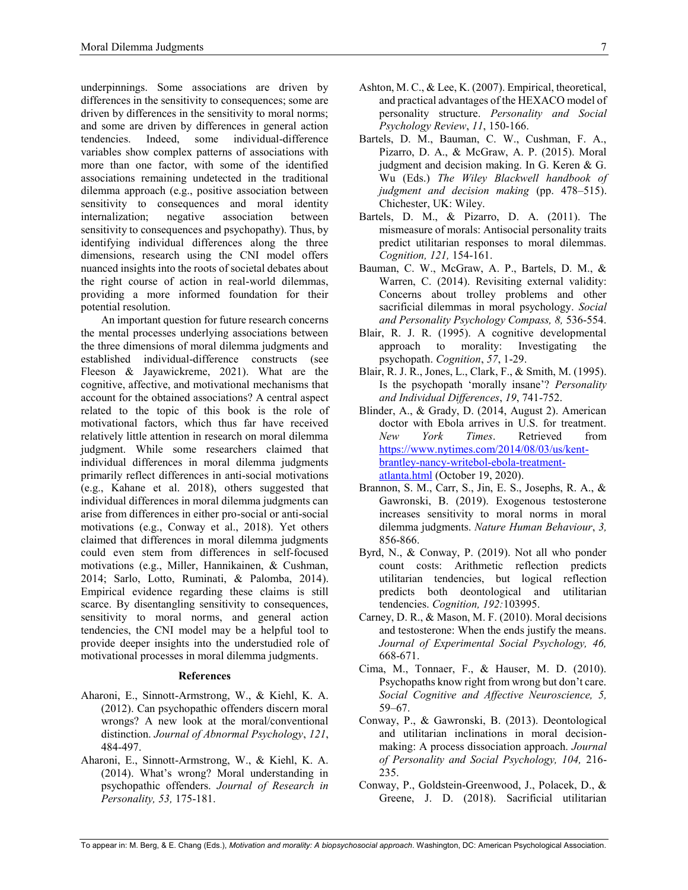underpinnings. Some associations are driven by differences in the sensitivity to consequences; some are driven by differences in the sensitivity to moral norms; and some are driven by differences in general action tendencies. Indeed, some individual-difference variables show complex patterns of associations with more than one factor, with some of the identified associations remaining undetected in the traditional dilemma approach (e.g., positive association between sensitivity to consequences and moral identity internalization; negative association between sensitivity to consequences and psychopathy). Thus, by identifying individual differences along the three dimensions, research using the CNI model offers nuanced insights into the roots of societal debates about the right course of action in real-world dilemmas, providing a more informed foundation for their potential resolution.

An important question for future research concerns the mental processes underlying associations between the three dimensions of moral dilemma judgments and established individual-difference constructs (see Fleeson & Jayawickreme, 2021). What are the cognitive, affective, and motivational mechanisms that account for the obtained associations? A central aspect related to the topic of this book is the role of motivational factors, which thus far have received relatively little attention in research on moral dilemma judgment. While some researchers claimed that individual differences in moral dilemma judgments primarily reflect differences in anti-social motivations (e.g., Kahane et al. 2018), others suggested that individual differences in moral dilemma judgments can arise from differences in either pro-social or anti-social motivations (e.g., Conway et al., 2018). Yet others claimed that differences in moral dilemma judgments could even stem from differences in self-focused motivations (e.g., Miller, Hannikainen, & Cushman, 2014; Sarlo, Lotto, Ruminati, & Palomba, 2014). Empirical evidence regarding these claims is still scarce. By disentangling sensitivity to consequences, sensitivity to moral norms, and general action tendencies, the CNI model may be a helpful tool to provide deeper insights into the understudied role of motivational processes in moral dilemma judgments.

#### **References**

- Aharoni, E., Sinnott-Armstrong, W., & Kiehl, K. A. (2012). Can psychopathic offenders discern moral wrongs? A new look at the moral/conventional distinction. *Journal of Abnormal Psychology*, *121*, 484-497.
- Aharoni, E., Sinnott-Armstrong, W., & Kiehl, K. A. (2014). What's wrong? Moral understanding in psychopathic offenders. *Journal of Research in Personality, 53,* 175-181.
- Ashton, M. C., & Lee, K. (2007). Empirical, theoretical, and practical advantages of the HEXACO model of personality structure. *Personality and Social Psychology Review*, *11*, 150-166.
- Bartels, D. M., Bauman, C. W., Cushman, F. A., Pizarro, D. A., & McGraw, A. P. (2015). Moral judgment and decision making. In G. Keren & G. Wu (Eds.) *The Wiley Blackwell handbook of judgment and decision making* (pp. 478–515). Chichester, UK: Wiley.
- Bartels, D. M., & Pizarro, D. A. (2011). The mismeasure of morals: Antisocial personality traits predict utilitarian responses to moral dilemmas. *Cognition, 121,* 154-161.
- Bauman, C. W., McGraw, A. P., Bartels, D. M., & Warren, C. (2014). Revisiting external validity: Concerns about trolley problems and other sacrificial dilemmas in moral psychology. *Social and Personality Psychology Compass, 8,* 536-554.
- Blair, R. J. R. (1995). A cognitive developmental approach to morality: Investigating the psychopath. *Cognition*, *57*, 1-29.
- Blair, R. J. R., Jones, L., Clark, F., & Smith, M. (1995). Is the psychopath 'morally insane'? *Personality and Individual Differences*, *19*, 741-752.
- Blinder, A., & Grady, D. (2014, August 2). American doctor with Ebola arrives in U.S. for treatment. *New York Times*. Retrieved from https://www.nytimes.com/2014/08/03/us/kentbrantley-nancy-writebol-ebola-treatmentatlanta.html (October 19, 2020).
- Brannon, S. M., Carr, S., Jin, E. S., Josephs, R. A., & Gawronski, B. (2019). Exogenous testosterone increases sensitivity to moral norms in moral dilemma judgments. *Nature Human Behaviour*, *3,*  856-866.
- Byrd, N., & Conway, P. (2019). Not all who ponder count costs: Arithmetic reflection predicts utilitarian tendencies, but logical reflection predicts both deontological and utilitarian tendencies. *Cognition, 192:*103995.
- Carney, D. R., & Mason, M. F. (2010). Moral decisions and testosterone: When the ends justify the means. *Journal of Experimental Social Psychology, 46,* 668-671.
- Cima, M., Tonnaer, F., & Hauser, M. D. (2010). Psychopaths know right from wrong but don't care. *Social Cognitive and Affective Neuroscience, 5,* 59–67.
- Conway, P., & Gawronski, B. (2013). Deontological and utilitarian inclinations in moral decisionmaking: A process dissociation approach. *Journal of Personality and Social Psychology, 104,* 216- 235.
- Conway, P., Goldstein-Greenwood, J., Polacek, D., & Greene, J. D. (2018). Sacrificial utilitarian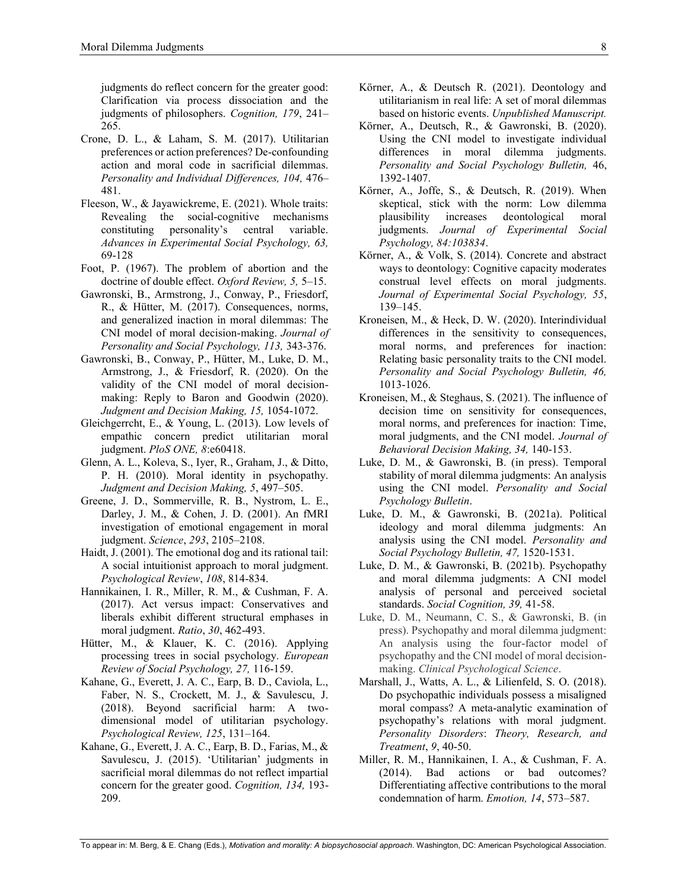judgments do reflect concern for the greater good: Clarification via process dissociation and the judgments of philosophers. *Cognition, 179*, 241– 265.

- Crone, D. L., & Laham, S. M. (2017). Utilitarian preferences or action preferences? De-confounding action and moral code in sacrificial dilemmas. *Personality and Individual Differences, 104,* 476– 481.
- Fleeson, W., & Jayawickreme, E. (2021). Whole traits: Revealing the social-cognitive mechanisms constituting personality's central variable. *Advances in Experimental Social Psychology, 63,* 69-128
- Foot, P. (1967). The problem of abortion and the doctrine of double effect. *Oxford Review, 5,* 5–15.
- Gawronski, B., Armstrong, J., Conway, P., Friesdorf, R., & Hütter, M. (2017). Consequences, norms, and generalized inaction in moral dilemmas: The CNI model of moral decision-making. *Journal of Personality and Social Psychology, 113,* 343-376.
- Gawronski, B., Conway, P., Hütter, M., Luke, D. M., Armstrong, J., & Friesdorf, R. (2020). On the validity of the CNI model of moral decisionmaking: Reply to Baron and Goodwin (2020). *Judgment and Decision Making, 15,* 1054-1072.
- Gleichgerrcht, E., & Young, L. (2013). Low levels of empathic concern predict utilitarian moral judgment. *PloS ONE, 8*:e60418.
- Glenn, A. L., Koleva, S., Iyer, R., Graham, J., & Ditto, P. H. (2010). Moral identity in psychopathy. *Judgment and Decision Making, 5*, 497–505.
- Greene, J. D., Sommerville, R. B., Nystrom, L. E., Darley, J. M., & Cohen, J. D. (2001). An fMRI investigation of emotional engagement in moral judgment. *Science*, *293*, 2105–2108.
- Haidt, J. (2001). The emotional dog and its rational tail: A social intuitionist approach to moral judgment. *Psychological Review*, *108*, 814-834.
- Hannikainen, I. R., Miller, R. M., & Cushman, F. A. (2017). Act versus impact: Conservatives and liberals exhibit different structural emphases in moral judgment. *Ratio*, *30*, 462-493.
- Hütter, M., & Klauer, K. C. (2016). Applying processing trees in social psychology. *European Review of Social Psychology, 27,* 116-159.
- Kahane, G., Everett, J. A. C., Earp, B. D., Caviola, L., Faber, N. S., Crockett, M. J., & Savulescu, J. (2018). Beyond sacrificial harm: A twodimensional model of utilitarian psychology. *Psychological Review, 125*, 131–164.
- Kahane, G., Everett, J. A. C., Earp, B. D., Farias, M., & Savulescu, J. (2015). 'Utilitarian' judgments in sacrificial moral dilemmas do not reflect impartial concern for the greater good. *Cognition, 134,* 193- 209.
- Körner, A., & Deutsch R. (2021). Deontology and utilitarianism in real life: A set of moral dilemmas based on historic events. *Unpublished Manuscript.*
- Körner, A., Deutsch, R., & Gawronski, B. (2020). Using the CNI model to investigate individual differences in moral dilemma judgments. *Personality and Social Psychology Bulletin,* 46, 1392-1407.
- Körner, A., Joffe, S., & Deutsch, R. (2019). When skeptical, stick with the norm: Low dilemma plausibility increases deontological moral judgments. *Journal of Experimental Social Psychology, 84:103834*.
- Körner, A., & Volk, S. (2014). Concrete and abstract ways to deontology: Cognitive capacity moderates construal level effects on moral judgments. *Journal of Experimental Social Psychology, 55*, 139–145.
- Kroneisen, M., & Heck, D. W. (2020). Interindividual differences in the sensitivity to consequences, moral norms, and preferences for inaction: Relating basic personality traits to the CNI model. *Personality and Social Psychology Bulletin, 46,*  1013-1026.
- Kroneisen, M., & Steghaus, S. (2021). The influence of decision time on sensitivity for consequences, moral norms, and preferences for inaction: Time, moral judgments, and the CNI model. *Journal of Behavioral Decision Making, 34,* 140-153.
- Luke, D. M., & Gawronski, B. (in press). Temporal stability of moral dilemma judgments: An analysis using the CNI model. *Personality and Social Psychology Bulletin*.
- Luke, D. M., & Gawronski, B. (2021a). Political ideology and moral dilemma judgments: An analysis using the CNI model. *Personality and Social Psychology Bulletin, 47,* 1520-1531.
- Luke, D. M., & Gawronski, B. (2021b). Psychopathy and moral dilemma judgments: A CNI model analysis of personal and perceived societal standards. *Social Cognition, 39,* 41-58.
- Luke, D. M., Neumann, C. S., & Gawronski, B. (in press). Psychopathy and moral dilemma judgment: An analysis using the four-factor model of psychopathy and the CNI model of moral decisionmaking. *Clinical Psychological Science*.
- Marshall, J., Watts, A. L., & Lilienfeld, S. O. (2018). Do psychopathic individuals possess a misaligned moral compass? A meta-analytic examination of psychopathy's relations with moral judgment. *Personality Disorders*: *Theory, Research, and Treatment*, *9*, 40-50.
- Miller, R. M., Hannikainen, I. A., & Cushman, F. A. (2014). Bad actions or bad outcomes? Differentiating affective contributions to the moral condemnation of harm. *Emotion, 14*, 573–587.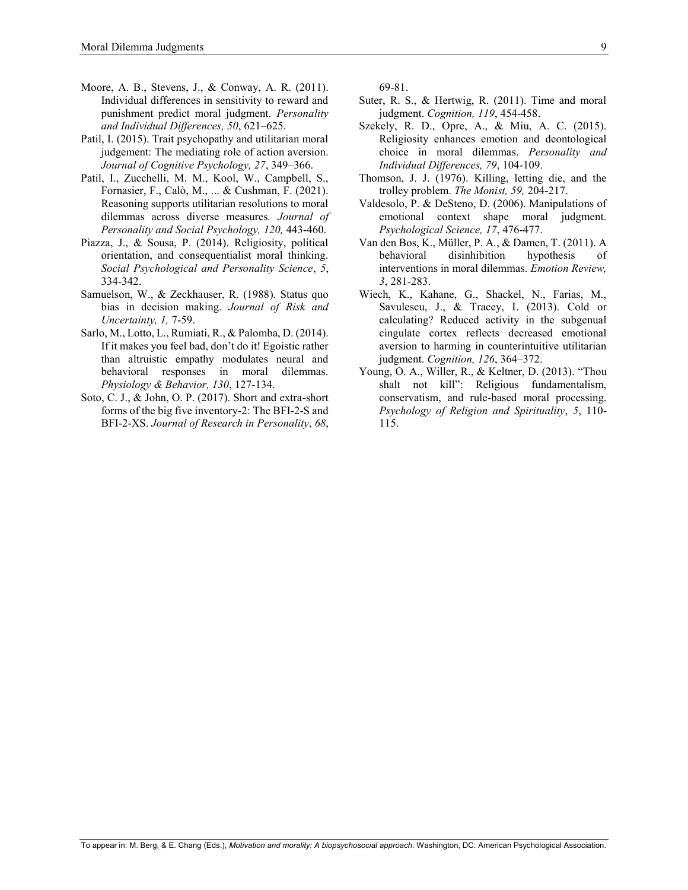- Moore, A. B., Stevens, J., & Conway, A. R. (2011). Individual differences in sensitivity to reward and punishment predict moral judgment. *Personality and Individual Differences, 50*, 621–625.
- Patil, I. (2015). Trait psychopathy and utilitarian moral judgement: The mediating role of action aversion. *Journal of Cognitive Psychology, 27*, 349–366.
- Patil, I., Zucchelli, M. M., Kool, W., Campbell, S., Fornasier, F., Calò, M., ... & Cushman, F. (2021). Reasoning supports utilitarian resolutions to moral dilemmas across diverse measures*. Journal of Personality and Social Psychology, 120,* 443-460.
- Piazza, J., & Sousa, P. (2014). Religiosity, political orientation, and consequentialist moral thinking. *Social Psychological and Personality Science*, *5*, 334-342.
- Samuelson, W., & Zeckhauser, R. (1988). Status quo bias in decision making. *Journal of Risk and Uncertainty, 1,* 7-59.
- Sarlo, M., Lotto, L., Rumiati, R., & Palomba, D. (2014). If it makes you feel bad, don't do it! Egoistic rather than altruistic empathy modulates neural and behavioral responses in moral dilemmas. *Physiology & Behavior, 130*, 127-134.
- Soto, C. J., & John, O. P. (2017). Short and extra-short forms of the big five inventory-2: The BFI-2-S and BFI-2-XS. *Journal of Research in Personality*, *68*,

69-81.

- Suter, R. S., & Hertwig, R. (2011). Time and moral judgment. *Cognition, 119*, 454-458.
- Szekely, R. D., Opre, A., & Miu, A. C. (2015). Religiosity enhances emotion and deontological choice in moral dilemmas. *Personality and Individual Differences, 79*, 104-109.
- Thomson, J. J. (1976). Killing, letting die, and the trolley problem. *The Monist, 59,* 204-217.
- Valdesolo, P. & DeSteno, D. (2006). Manipulations of emotional context shape moral judgment. *Psychological Science, 17*, 476-477.
- Van den Bos, K., Müller, P. A., & Damen, T. (2011). A behavioral disinhibition hypothesis of interventions in moral dilemmas. *Emotion Review, 3*, 281-283.
- Wiech, K., Kahane, G., Shackel, N., Farias, M., Savulescu, J., & Tracey, I. (2013). Cold or calculating? Reduced activity in the subgenual cingulate cortex reflects decreased emotional aversion to harming in counterintuitive utilitarian judgment. *Cognition, 126*, 364–372.
- Young, O. A., Willer, R., & Keltner, D. (2013). "Thou shalt not kill": Religious fundamentalism, conservatism, and rule-based moral processing. *Psychology of Religion and Spirituality*, *5*, 110- 115.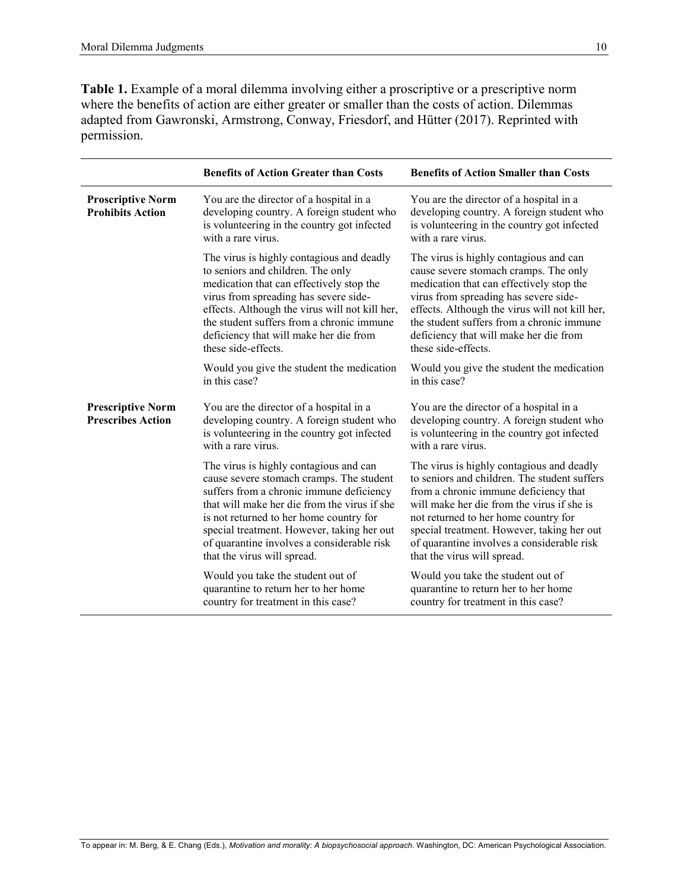**Table 1.** Example of a moral dilemma involving either a proscriptive or a prescriptive norm where the benefits of action are either greater or smaller than the costs of action. Dilemmas adapted from Gawronski, Armstrong, Conway, Friesdorf, and Hütter (2017). Reprinted with permission.

|                                                      | <b>Benefits of Action Greater than Costs</b>                                                                                                                                                                                                                                                                                                         | <b>Benefits of Action Smaller than Costs</b>                                                                                                                                                                                                                                                                                                        |
|------------------------------------------------------|------------------------------------------------------------------------------------------------------------------------------------------------------------------------------------------------------------------------------------------------------------------------------------------------------------------------------------------------------|-----------------------------------------------------------------------------------------------------------------------------------------------------------------------------------------------------------------------------------------------------------------------------------------------------------------------------------------------------|
| <b>Proscriptive Norm</b><br><b>Prohibits Action</b>  | You are the director of a hospital in a<br>developing country. A foreign student who<br>is volunteering in the country got infected<br>with a rare virus.                                                                                                                                                                                            | You are the director of a hospital in a<br>developing country. A foreign student who<br>is volunteering in the country got infected<br>with a rare virus.                                                                                                                                                                                           |
|                                                      | The virus is highly contagious and deadly<br>to seniors and children. The only<br>medication that can effectively stop the<br>virus from spreading has severe side-<br>effects. Although the virus will not kill her,<br>the student suffers from a chronic immune<br>deficiency that will make her die from<br>these side-effects.                  | The virus is highly contagious and can<br>cause severe stomach cramps. The only<br>medication that can effectively stop the<br>virus from spreading has severe side-<br>effects. Although the virus will not kill her,<br>the student suffers from a chronic immune<br>deficiency that will make her die from<br>these side-effects.                |
|                                                      | Would you give the student the medication<br>in this case?                                                                                                                                                                                                                                                                                           | Would you give the student the medication<br>in this case?                                                                                                                                                                                                                                                                                          |
| <b>Prescriptive Norm</b><br><b>Prescribes Action</b> | You are the director of a hospital in a<br>developing country. A foreign student who<br>is volunteering in the country got infected<br>with a rare virus.                                                                                                                                                                                            | You are the director of a hospital in a<br>developing country. A foreign student who<br>is volunteering in the country got infected<br>with a rare virus.                                                                                                                                                                                           |
|                                                      | The virus is highly contagious and can<br>cause severe stomach cramps. The student<br>suffers from a chronic immune deficiency<br>that will make her die from the virus if she<br>is not returned to her home country for<br>special treatment. However, taking her out<br>of quarantine involves a considerable risk<br>that the virus will spread. | The virus is highly contagious and deadly<br>to seniors and children. The student suffers<br>from a chronic immune deficiency that<br>will make her die from the virus if she is<br>not returned to her home country for<br>special treatment. However, taking her out<br>of quarantine involves a considerable risk<br>that the virus will spread. |
|                                                      | Would you take the student out of<br>quarantine to return her to her home<br>country for treatment in this case?                                                                                                                                                                                                                                     | Would you take the student out of<br>quarantine to return her to her home<br>country for treatment in this case?                                                                                                                                                                                                                                    |